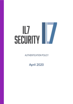# $\mathbb{L}$ **SECURITY**

AUTHENTICATION POLICY

April 2020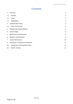# **Contents**

| 1              | Overview                                | 3  |
|----------------|-----------------------------------------|----|
| 1.1            | Purpose                                 | 3  |
| 1.2            | Scope                                   | 3  |
| 1.3            | Applicability                           | 3  |
| $\overline{2}$ | <b>Authentication Policy</b>            | 4  |
| 2.1            | <b>Policy and Controls</b>              | 4  |
| 3              | <b>Management Responsibilities</b>      | 5  |
| 4              | System Design                           | 6  |
| 5              | <b>Multi-Factor Authentication</b>      | 8  |
| 6              | <b>Biometric Authentication</b>         | 9  |
| 7              | System Maintenance                      | 10 |
| 8              | Exemptions, Exceptions and Breaches     | 11 |
| 8.1            | <b>Exemptions and Exceptions Policy</b> | 11 |
| 8.2            | <b>Breach of Policy</b>                 | 11 |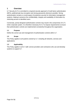## <span id="page-2-0"></span>**1 Overview**

IL7 Security (IL7) is committed to a layered security approach of multi-factor authentication (MFA), public/private key encryption and strong passwords whenever possible. Strong authentication remains a crucial aspect of protective security for information management systems, helping to preserve the confidentiality, integrity and availability of information by restricting access to identified users.

Conversely, poorly-designed authentication controls may result in the compromise of IL7's entire corporate system. It is therefore necessary for IL7 to impose requirements to ensure that authentication controls are implemented consistently throughout the organisation.

#### <span id="page-2-1"></span>**1.1 Purpose**

Define the correct use and management of authentication controls within IL7.

#### <span id="page-2-2"></span>**1.2 Scope**

This Policy applies to all systems owned by IL7, including all networks, services and applications.

#### <span id="page-2-3"></span>**1.3 Applicability**

This Policy applies to all IL7 staff, service providers and contractors who use and develop systems to support IL7.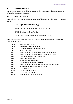### <span id="page-3-0"></span>**2 Authentication Policy**

The following requirements will be adhered to at all times to ensure the correct use of IL7 information technology resources.

#### <span id="page-3-1"></span>**2.1 Policy and Controls**

This Policy is written to ensure that the outcomes of the following Cyber Security Principles are met:

- SP-06 Operational Security (Ref [1])
- SP-07 Security Development and Configuration (Ref [2])
- SP-09 End User Devices (Ref [3])
- SP-11 Core System Protection and Separation (Ref [4])

This Policy implements the following NIST controls, which are detailed in NIST Special Publication 800-53 [5]:

- AC-2 Account Management,
- AC-4 Information Flow Enforcement.
- AC-14 Permitted Actions without Identification,
- AU-12 Audit Generation,
- IA-1 Identification and Authentication Policy and Procedures,
- IA-2 Identification and Authentication (Organisational Users),
- IA-3 Device Identification and Authentication,
- IA-4 Identifier Management,
- IA-5 Authenticator Management,
- IA-7 Cryptographic Module Authentication,
- IA-8 Identification and Authentication (Non-organisational Users),
- IA-10 Adaptive Identification and Authentication,
- IA-11 Re-Authentication,
- MA-4 Non-Local Maintenance,
- SC-2 Application Partitioning,
- SC-4 Information in Shared Resources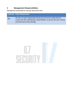# <span id="page-4-0"></span>**3 Management Responsibilities**

Management responsible for security shall ensure that:

|     | <b>Policy ID Policy Requirement</b>                                                                                                                                                           |
|-----|-----------------------------------------------------------------------------------------------------------------------------------------------------------------------------------------------|
| 3.1 | All users are given appropriate training and resources to allow them to<br>comply with their authentication responsibilities, as per the Security Training<br>and Awareness Policy (Ref [6]). |

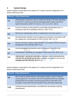# <span id="page-5-0"></span>**4 System Design**

System designers responsible for the design of IL7 systems and the configuration of IL7 devices shall ensure that:

|     | <b>Policy ID Policy Requirement</b>                                                                                                                                                                                              |
|-----|----------------------------------------------------------------------------------------------------------------------------------------------------------------------------------------------------------------------------------|
| 4.1 | Authentication controls are used to confirm the identity of all users attempting<br>to access IL7 resources at any time (including system-system and device-<br>system interactions). [NIST IA-7,8,10,11, AC-2,4,14, SC-4, MA-4] |
| 4.2 | Access to systems is only granted to successfully authenticated users, in<br>accordance with NCSC guidelines (Ref [7]). [NIST SC-2]                                                                                              |
| 4.3 | Multi-Factor Authentication (MFA) is implemented in line with section 5                                                                                                                                                          |
| 4.4 | All authentication attempts must be logged and monitored in accordance with<br>the Logging and Log Management Policy (Ref [8]). [NIST AU-12]                                                                                     |
| 4.5 | All user accounts are given unique identities, in accordance with the Account<br>Management Policy (Ref [9]). [NIST IA-2]                                                                                                        |
| 4.6 | Username/password credentials meet the Password Policy (Ref [10]).                                                                                                                                                               |
| 4.7 | Authentication credentials are encrypted in transit and at rest. [NIST IA-5]                                                                                                                                                     |
| 4.8 | Authentication controls are reviewed as necessary when enabling/disabling<br>user accounts during the joiners/leavers process, as outlined in the Account<br>Management Policy (Ref [9]). [NIST IA-5]                            |

System designers responsible for the design of IL7 systems and the configuration of IL7 devices should ensure that:

|      | <b>Policy ID Policy Requirement</b>                                                                                                                                                                                                                                                                           |
|------|---------------------------------------------------------------------------------------------------------------------------------------------------------------------------------------------------------------------------------------------------------------------------------------------------------------|
| 4.9  | MFA should be utilised wherever technically possible as part of a layered<br>security approach in accordance with NCSC guidelines (Ref [7]), alongside<br>public/private key encryption and strong passwords as described in the<br>Encryption Policy (Ref [11]) and Password Policy (Ref [10]) respectively. |
| 4.10 | Certificate-based authentication is considered for all situations requiring<br>authentication.                                                                                                                                                                                                                |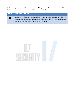System designers responsible for the design of IL7 systems and the configuration of IL7 devices must ensure, dependent on a risk assessment, that:

|      | <b>Policy ID Policy Requirement</b>                                                                                                                                                                               |
|------|-------------------------------------------------------------------------------------------------------------------------------------------------------------------------------------------------------------------|
| 4.11 | Any MFA implemented is appropriate to the system being deployed. Where a<br>risk assessment deems it appropriate, in-built MFA (i.e. MFA included as part<br>of a procured solution) should be used if available. |

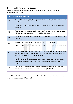## <span id="page-7-0"></span>**5 Multi-Factor Authentication**

System designers responsible for the design of IL7 systems and configuration of IL7 devices shall ensure that:

| <b>Policy ID</b> | <b>Policy Requirement</b>                                                                                                                                                                                                                                                                                                                                                                            |
|------------------|------------------------------------------------------------------------------------------------------------------------------------------------------------------------------------------------------------------------------------------------------------------------------------------------------------------------------------------------------------------------------------------------------|
| 5.1              | Where MFA is used, only IL7 approved/assured MFA approaches/products are<br>employed.<br>Designers should contact the GRA CSAS team for information on assured<br>products.                                                                                                                                                                                                                          |
| 5.2              | Where no system-appropriate IL7 approved MFA approach/product exists, the<br>MFA solution must be assured by the GRA CSAS team.                                                                                                                                                                                                                                                                      |
| 5.3              | All administrator accounts are protected by IL7-approved MFA methods. [NIST<br>$IA-2(1, 3)$ ].                                                                                                                                                                                                                                                                                                       |
| 5.4              | SMS/Text Message validation is not used as the second factor.<br>The exception to this is for citizen access to IL7 services where no other MFA<br>mechanism is suitable.                                                                                                                                                                                                                            |
| 5.5              | All normal (non-privileged) user accounts that are internet facing or that utilise<br>other public networks, including for remote access as per the Remote access<br>design policy (Ref [12]), are protected by MFA.<br>In this scenario, it is acceptable that the second factor is the remote access<br>device authentication to the end system (e.g. via certificate for a VPN). [NIST<br>$[A-2]$ |
| 5.6              | MFA must be implemented for internal (non-administrative) user accounts,<br>where a risk assessment deems it appropriate. [NIST IA-2]                                                                                                                                                                                                                                                                |

Note: Where Multi-Factor Authentication is implemented, IL7 considers the first factor to always be a Username and Password.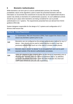# <span id="page-8-0"></span>**6 Biometric Authentication**

While biometrics can form part of a secure authentication process, the inherently probabilistic nature of the algorithms used to match the presented biometric with the information on record limits the overall level of security that can be implemented should a system rely entirely on biometrics for authentication purposes. As such additional controls should be put in place when biometrics are being considered for use to provide authentication to IL7 systems. The requirements presented here are derived from NCSC guidance (Ref [13])

System designers responsible for the design of IL7 systems and configuration of IL7 devices shall ensure that:

|     | <b>Policy ID Policy Requirement</b>                                                                                                                                                                                                                                                                    |
|-----|--------------------------------------------------------------------------------------------------------------------------------------------------------------------------------------------------------------------------------------------------------------------------------------------------------|
| 6.1 | IL7 Governance, Risk and Assurance (GRA) Team support the choice of and<br>assure any biometric systems prior to use.                                                                                                                                                                                  |
| 6.2 | Biometrics are not configured as the primary authentication method for any IL7<br>device – they should only be used to unlock devices to which a user has<br>previously authenticated (such as in the case of a locked mobile phone).                                                                  |
| 6.3 | Biometric data is stored "on-device" in an encrypted form and is at no point<br>exposed outside of the device's authentication processes.                                                                                                                                                              |
| 6.4 | Users are required to give consent (either on the device or separately) prior to<br>enrolling their biometric data on a device as biometric data is, by definition,<br>personally identifiable information under the Data Protection Act 2018 and<br>GDPR (See references [14] and [15] respectively). |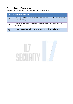# <span id="page-9-0"></span>**7 System Maintenance**

Administrators responsible for maintenance of IL7 systems shall:

|     | <b>Policy ID Policy Requirement</b>                                                                |
|-----|----------------------------------------------------------------------------------------------------|
| 7.1 | Abide by additional requirements for administrators laid out in the Password<br>Policy (Ref [10]). |
| 7.2 | Ensure that remote access to any IL7 system uses valid certificates and<br>credentials.            |
| 7.3 | Not bypass authentication mechanisms for themselves or other users.                                |